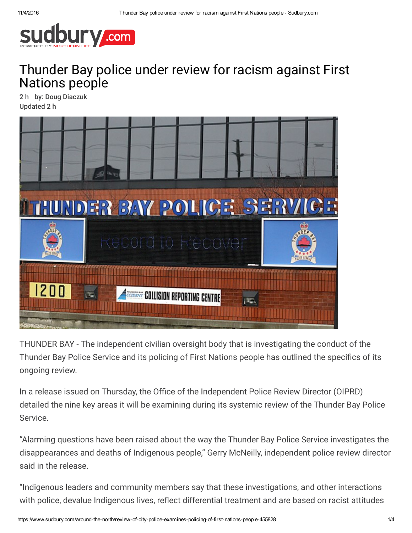

## Thunder Bay police under review for racism against First Nations people

2 h by: Doug Diaczuk Updated 2 h



THUNDER BAY - The independent civilian oversight body that is investigating the conduct of the Thunder Bay Police Service and its policing of First Nations people has outlined the specifics of its ongoing review.

In a release issued on Thursday, the Office of the Independent Police Review Director (OIPRD) detailed the nine key areas it will be examining during its systemic review of the Thunder Bay Police Service.

"Alarming questions have been raised about the way the Thunder Bay Police Service investigates the disappearances and deaths of Indigenous people," Gerry McNeilly, independent police review director said in the release.

"Indigenous leaders and community members say that these investigations, and other interactions with police, devalue Indigenous lives, reflect differential treatment and are based on racist attitudes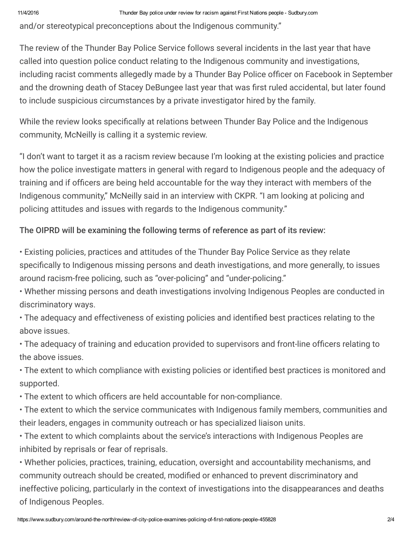and/or stereotypical preconceptions about the Indigenous community."

The review of the Thunder Bay Police Service follows several incidents in the last year that have called into question police conduct relating to the Indigenous community and investigations, including racist comments allegedly made by a Thunder Bay Police officer on Facebook in September and the drowning death of Stacey DeBungee last year that was first ruled accidental, but later found to include suspicious circumstances by a private investigator hired by the family.

While the review looks specifically at relations between Thunder Bay Police and the Indigenous community, McNeilly is calling it a systemic review.

"I don't want to target it as a racism review because I'm looking at the existing policies and practice how the police investigate matters in general with regard to Indigenous people and the adequacy of training and if officers are being held accountable for the way they interact with members of the Indigenous community," McNeilly said in an interview with CKPR. "I am looking at policing and policing attitudes and issues with regards to the Indigenous community."

## The OIPRD will be examining the following terms of reference as part of its review:

• Existing policies, practices and attitudes of the Thunder Bay Police Service as they relate specifically to Indigenous missing persons and death investigations, and more generally, to issues around racism-free policing, such as "over-policing" and "under-policing."

• Whether missing persons and death investigations involving Indigenous Peoples are conducted in discriminatory ways.

• The adequacy and effectiveness of existing policies and identified best practices relating to the above issues.

• The adequacy of training and education provided to supervisors and front-line officers relating to the above issues.

• The extent to which compliance with existing policies or identified best practices is monitored and supported.

• The extent to which officers are held accountable for non-compliance.

• The extent to which the service communicates with Indigenous family members, communities and their leaders, engages in community outreach or has specialized liaison units.

• The extent to which complaints about the service's interactions with Indigenous Peoples are inhibited by reprisals or fear of reprisals.

• Whether policies, practices, training, education, oversight and accountability mechanisms, and community outreach should be created, modified or enhanced to prevent discriminatory and ineffective policing, particularly in the context of investigations into the disappearances and deaths of Indigenous Peoples.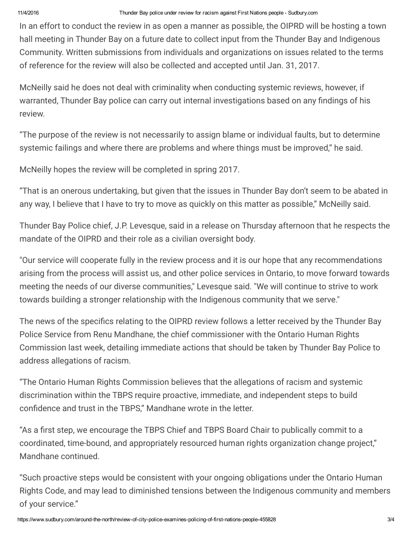In an effort to conduct the review in as open a manner as possible, the OIPRD will be hosting a town hall meeting in Thunder Bay on a future date to collect input from the Thunder Bay and Indigenous Community. Written submissions from individuals and organizations on issues related to the terms of reference for the review will also be collected and accepted until Jan. 31, 2017.

McNeilly said he does not deal with criminality when conducting systemic reviews, however, if warranted, Thunder Bay police can carry out internal investigations based on any findings of his review.

"The purpose of the review is not necessarily to assign blame or individual faults, but to determine systemic failings and where there are problems and where things must be improved," he said.

McNeilly hopes the review will be completed in spring 2017.

"That is an onerous undertaking, but given that the issues in Thunder Bay don't seem to be abated in any way, I believe that I have to try to move as quickly on this matter as possible," McNeilly said.

Thunder Bay Police chief, J.P. Levesque, said in a release on Thursday afternoon that he respects the mandate of the OIPRD and their role as a civilian oversight body.

"Our service will cooperate fully in the review process and it is our hope that any recommendations arising from the process will assist us, and other police services in Ontario, to move forward towards meeting the needs of our diverse communities," Levesque said. "We will continue to strive to work towards building a stronger relationship with the Indigenous community that we serve."

The news of the specifics relating to the OIPRD review follows a letter received by the Thunder Bay Police Service from Renu Mandhane, the chief commissioner with the Ontario Human Rights Commission last week, detailing immediate actions that should be taken by Thunder Bay Police to address allegations of racism.

"The Ontario Human Rights Commission believes that the allegations of racism and systemic discrimination within the TBPS require proactive, immediate, and independent steps to build confidence and trust in the TBPS," Mandhane wrote in the letter.

"As a first step, we encourage the TBPS Chief and TBPS Board Chair to publically commit to a coordinated, time-bound, and appropriately resourced human rights organization change project," Mandhane continued.

"Such proactive steps would be consistent with your ongoing obligations under the Ontario Human Rights Code, and may lead to diminished tensions between the Indigenous community and members of your service."